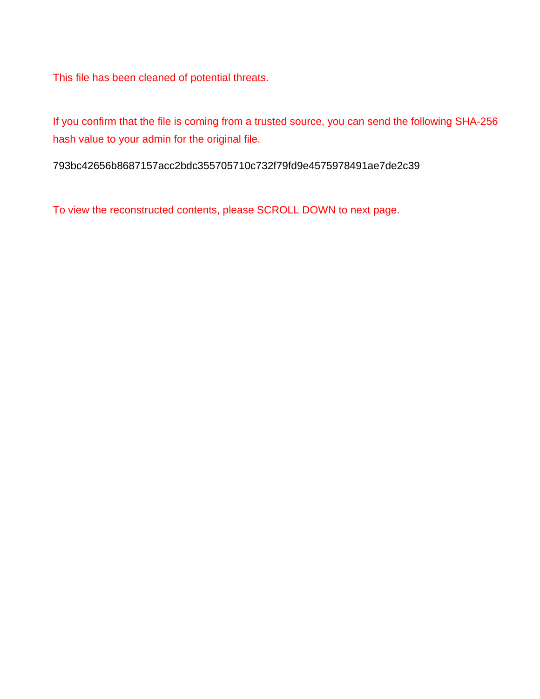This file has been cleaned of potential threats.

If you confirm that the file is coming from a trusted source, you can send the following SHA-256 hash value to your admin for the original file.

793bc42656b8687157acc2bdc355705710c732f79fd9e4575978491ae7de2c39

To view the reconstructed contents, please SCROLL DOWN to next page.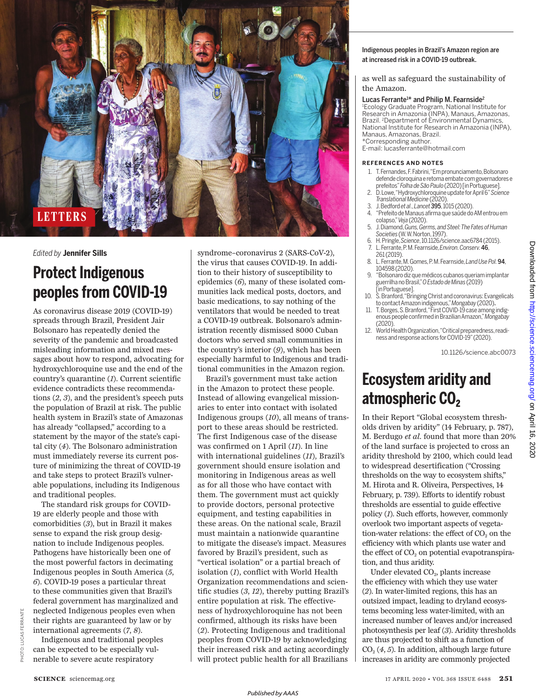

## *Edited by* **Jennifer Sills**

# **Protect Indigenous peoples from COVID-19**

As coronavirus disease 2019 (COVID-19) spreads through Brazil, President Jair Bolsonaro has repeatedly denied the severity of the pandemic and broadcasted misleading information and mixed messages about how to respond, advocating for hydroxychloroquine use and the end of the country's quarantine (*1*). Current scientific evidence contradicts these recommendations (*2*, *3*), and the president's speech puts the population of Brazil at risk. The public health system in Brazil's state of Amazonas has already "collapsed," according to a statement by the mayor of the state's capital city (*4*). The Bolsonaro administration must immediately reverse its current posture of minimizing the threat of COVID-19 and take steps to protect Brazil's vulnerable populations, including its Indigenous and traditional peoples.

The standard risk groups for COVID-19 are elderly people and those with comorbidities (*3*), but in Brazil it makes sense to expand the risk group designation to include Indigenous peoples. Pathogens have historically been one of the most powerful factors in decimating Indigenous peoples in South America (*5*, *6*). COVID-19 poses a particular threat to these communities given that Brazil's federal government has marginalized and neglected Indigenous peoples even when their rights are guaranteed by law or by international agreements (*7*, *8*).

Indigenous and traditional peoples can be expected to be especially vulnerable to severe acute respiratory

syndrome–coronavirus 2 (SARS-CoV-2), the virus that causes COVID-19. In addition to their history of susceptibility to epidemics (*6*), many of these isolated communities lack medical posts, doctors, and basic medications, to say nothing of the ventilators that would be needed to treat a COVID-19 outbreak. Bolsonaro's administration recently dismissed 8000 Cuban doctors who served small communities in the country's interior (*9*), which has been especially harmful to Indigenous and traditional communities in the Amazon region.

Brazil's government must take action in the Amazon to protect these people. Instead of allowing evangelical missionaries to enter into contact with isolated Indigenous groups (*10*), all means of transport to these areas should be restricted. The first Indigenous case of the disease was confirmed on 1 April (*11*). In line with international guidelines (*11*), Brazil's government should ensure isolation and monitoring in Indigenous areas as well as for all those who have contact with them. The government must act quickly to provide doctors, personal protective equipment, and testing capabilities in these areas. On the national scale, Brazil must maintain a nationwide quarantine to mitigate the disease's impact. Measures favored by Brazil's president, such as "vertical isolation" or a partial breach of isolation (*1*), conflict with World Health Organization recommendations and scientific studies (*3*, *12*), thereby putting Brazil's entire population at risk. The effectiveness of hydroxychloroquine has not been confirmed, although its risks have been (*2*). Protecting Indigenous and traditional peoples from COVID-19 by acknowledging their increased risk and acting accordingly will protect public health for all Brazilians

#### Indigenous peoples in Brazil's Amazon region are at increased risk in a COVID-19 outbreak.

as well as safeguard the sustainability of the Amazon.

### Lucas Ferrante<sup>1\*</sup> and Philip M. Fearnside<sup>2</sup>

<sup>1</sup>Ecology Graduate Program, National Institute for Research in Amazonia (INPA), Manaus, Amazonas, Brazil. <sup>2</sup>Department of Environmental Dynamics, National Institute for Research in Amazonia (INPA), Manaus, Amazonas, Brazil. \*Corresponding author.

E-mail: lucasferrante@hotmail.com

#### **REFERENCES AND NOTES**

- 1. T. Fernandes,F. Fabrini,"Em pronunciamento, Bolsonaro defende cloroquina e retoma embate com governadores e prefeitos" Folha de São Paulo (2020) [in Portuguese].
- 2. D. Lowe,"Hydroxychloroquine update forApril 6"*Science Translational Medicine* (2020).
- 3. J. Bedford *et al.*, *Lancet* 395, 1015 (2020).<br>4. "Prefeito de Manaus afirma que saúde do
- 4. "Prefeito de Manaus afirma que saúdedo AMentrouem colapso,"*Veja* (2020). 5. J. Diamond, *Guns, Germs, and Steel:TheFatesof Human*
- *Societies* (W.W. Norton,1997).
- 6. H. Pringle,*Science*, 10.1126/science.aac6784 (2015). 7. L. Ferrante, P. M. Fearnside, *Environ. Conserv.*46,
- 261 (2019). 8. L. Ferrante, M. Gomes,P. M. Fearnside,*Land Use Pol.*94, 104598 (2020).
- 9. "Bolsonaro diz que médicos cubanos queriam implantar guerrilha noBrasil,"*O Estado de Minas* (2019)
- [in Portuguese].  $\bar{S}$ . Branford, "Bringing Christ and coronavirus: Evangelicals
- to contactAmazon indigenous,"*Mongabay* (2020). T. Borges, S. Branford, "First COVID-19 case among indigenouspeopleconfirmed in Brazilian Amazon,"*Mongabay* (2020).
- 12. World Health Organization, "Critical preparedness, readiness and response actions for COVID-19" (2020).

10.1126/science.abc0073

# **Ecosystem aridity and**  atmospheric CO<sub>2</sub>

In their Report "Global ecosystem thresholds driven by aridity" (14 February, p. 787), M. Berdugo *et al*. found that more than 20% of the land surface is projected to cross an aridity threshold by 2100, which could lead to widespread desertification ("Crossing thresholds on the way to ecosystem shifts," M. Hirota and R. Oliveira, Perspectives, 14 February, p. 739). Efforts to identify robust thresholds are essential to guide effective policy (*1*). Such efforts, however, commonly overlook two important aspects of vegetation-water relations: the effect of  $CO<sub>2</sub>$  on the efficiency with which plants use water and the effect of  $CO<sub>2</sub>$  on potential evapotranspiration, and thus aridity.

Under elevated CO<sub>2</sub>, plants increase the efficiency with which they use water (*2*). In water-limited regions, this has an outsized impact, leading to dryland ecosystems becoming less water-limited, with an increased number of leaves and/or increased photosynthesis per leaf (*3*). Aridity thresholds are thus projected to shift as a function of CO<sup>2</sup> (*4*, *5*). In addition, although large future increases in aridity are commonly projected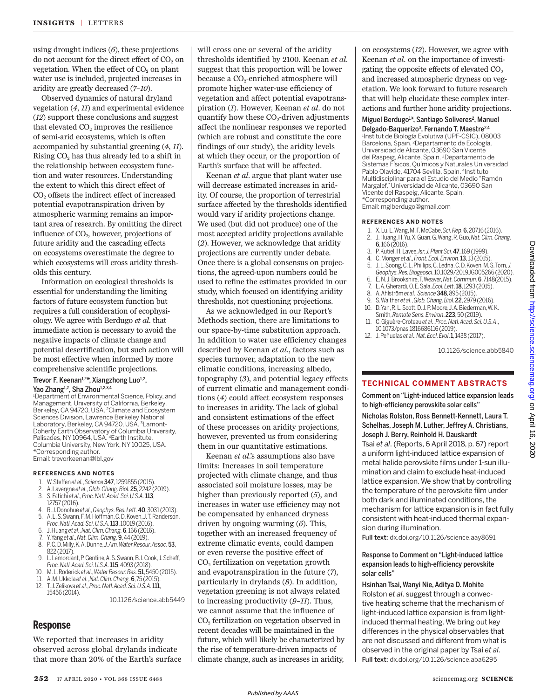using drought indices (*6*), these projections do not account for the direct effect of  $CO<sub>2</sub>$  on vegetation. When the effect of  $CO<sub>2</sub>$  on plant water use is included, projected increases in aridity are greatly decreased (*7*–*10*).

Observed dynamics of natural dryland vegetation (*4*, *11*) and experimental evidence (*12*) support these conclusions and suggest that elevated  $CO<sub>2</sub>$  improves the resilience of semi-arid ecosystems, which is often accompanied by substantial greening (*4*, *11*). Rising  $CO<sub>2</sub>$  has thus already led to a shift in the relationship between ecosystem function and water resources. Understanding the extent to which this direct effect of  $CO<sub>2</sub>$  offsets the indirect effect of increased potential evapotranspiration driven by atmospheric warming remains an important area of research. By omitting the direct influence of CO<sub>2</sub>, however, projections of future aridity and the cascading effects on ecosystems overestimate the degree to which ecosystems will cross aridity thresholds this century.

Information on ecological thresholds is essential for understanding the limiting factors of future ecosystem function but requires a full consideration of ecophysiology. We agree with Berdugo *et al*. that immediate action is necessary to avoid the negative impacts of climate change and potential desertification, but such action will be most effective when informed by more comprehensive scientific projections.

### Trevor F. Keenan<sup>1,2\*</sup>, Xiangzhong Luo<sup>1,2</sup>, Yao Zhang<sup>1,2</sup>, Sha Zhou<sup>1,2,3,4</sup>

<sup>1</sup>Department of Environmental Science, Policy, and Management, University of California, Berkeley, Berkeley, CA 94720, USA. <sup>2</sup>Climate and Ecosystem Sciences Division, Lawrence Berkeley National Laboratory, Berkeley, CA 94720, USA. 3Lamont-Doherty Earth Observatory of Columbia University, Palisades, NY 10964, USA. <sup>4</sup>Earth Institute, Columbia University, New York, NY 10025, USA. \*Corresponding author. Email: trevorkeenan@lbl.gov

#### **REFERENCES AND NOTES**

- 1. W. Steffen*et al*., *Science*347, 1259855 (2015).
- 2. A. Lavergne *et al*., *Glob. Chang. Biol.*25, 2242 (2019).
- 3. S. Fatichi *et al*., *Proc. Natl.Acad. Sci. U.S.A.*113, 12757 (2016).
- 4. R.J. Donohue*et al*., *Geophys. Res. Lett.*40, 3031 (2013). A. L. S. Swann, F. M. Hoffman, C. D. Koven, J. T. Randerson,
- *Proc.Natl. Acad.Sci.U.S.A.*113, 10019 (2016).
- 6. J. Huang*et al*., *Nat. Clim.Chang.*6, 166 (2016).
- 7. Y. Yang*et al*., *Nat. Clim.Chang.*9,44 (2019). 8. P. C. D.Milly, K. A.Dunne, *J. Am. WaterResour. Assoc.*53,
- 822 (2017). 9. L. Lemordant, P. Gentine,A.S. Swann, B.I. Cook, J. Scheff,
- *Proc.Natl.Acad. Sci. U.S.A.*115, 4093 (2018).
- 10. M. L.Roderick*et al*., *WaterResour. Res.*51, 5450 (2015).
- 11. A. M.Ukkola*et al*., *Nat. Clim.Chang.*6,75 (2015).
- 12. T. J.Zelikova *et al*., *Proc. Natl.Acad. Sci. U.S.A.*111, 15456 (2014).

10.1126/science.abb5449

# **Response**

We reported that increases in aridity observed across global drylands indicate that more than 20% of the Earth's surface

will cross one or several of the aridity thresholds identified by 2100. Keenan *et al*. suggest that this proportion will be lower because a CO<sub>2</sub>-enriched atmosphere will promote higher water-use efficiency of vegetation and affect potential evapotranspiration (*1*). However, Keenan *et al*. do not quantify how these  $CO<sub>2</sub>$ -driven adjustments affect the nonlinear responses we reported (which are robust and constitute the core findings of our study), the aridity levels at which they occur, or the proportion of Earth's surface that will be affected.

Keenan *et al*. argue that plant water use will decrease estimated increases in aridity. Of course, the proportion of terrestrial surface affected by the thresholds identified would vary if aridity projections change. We used (but did not produce) one of the most accepted aridity projections available (*2*). However, we acknowledge that aridity projections are currently under debate. Once there is a global consensus on projections, the agreed-upon numbers could be used to refine the estimates provided in our study, which focused on identifying aridity thresholds, not questioning projections.

As we acknowledged in our Report's Methods section, there are limitations to our space-by-time substitution approach. In addition to water use efficiency changes described by Keenan *et al*., factors such as species turnover, adaptation to the new climatic conditions, increasing albedo, topography (*3*), and potential legacy effects of current climatic and management conditions (*4*) could affect ecosystem responses to increases in aridity. The lack of global and consistent estimations of the effect of these processes on aridity projections, however, prevented us from considering them in our quantitative estimations.

Keenan *et al*.'s assumptions also have limits: Increases in soil temperature projected with climate change, and thus associated soil moisture losses, may be higher than previously reported (*5*), and increases in water use efficiency may not be compensated by enhanced dryness driven by ongoing warming (*6*). This, together with an increased frequency of extreme climatic events, could dampen or even reverse the positive effect of CO<sup>2</sup> fertilization on vegetation growth and evapotranspiration in the future (*7*), particularly in drylands (*8*). In addition, vegetation greening is not always related to increasing productivity (*9*–*11*). Thus, we cannot assume that the influence of CO<sup>2</sup> fertilization on vegetation observed in recent decades will be maintained in the future, which will likely be characterized by the rise of temperature-driven impacts of climate change, such as increases in aridity,

*Published byAAAS*

on ecosystems (*12*). However, we agree with Keenan *et al.* on the importance of investigating the opposite effects of elevated  $CO<sub>2</sub>$ and increased atmospheric dryness on vegetation. We look forward to future research that will help elucidate these complex interactions and further hone aridity projections.

## Miguel Berdugo<sup>1\*</sup>, Santiago Soliveres<sup>2</sup>, Manuel

Delgado-Baquerizo<sup>3</sup>, Fernando T. Maestre<sup>2,4</sup> 1 Institut de Biología Evolutiva (UPF-CSIC), 08003 Barcelona, Spain. <sup>2</sup>Departamento de Ecología, Universidad de Alicante, 03690 San Vicente del Raspeig, Alicante, Spain. <sup>3</sup>Departamento de Sistemas Físicos, Químicos y Naturales Universidad Pablo Olavide, 41704 Sevilla, Spain. <sup>4</sup>Instituto Multidisciplinar para el Estudio del Medio"Ramón Margalef," Universidad de Alicante, 03690 San Vicente del Raspeig, Alicante, Spain. \*Corresponding author.

Email: mglberdugo@gmail.com

#### **REFERENCES AND NOTES**

- 1. X. Lu, L. Wang, M. F. McCabe, *Sci. Rep*. 6, 20716 (2016).
- 2. J. Huang, H. Yu, X. Guan, G. Wang, R. Guo,*Nat. Clim. Chang*. 6,166 (2016).
- 3. P. Kutiel, H. Lavee, *Isr. J. Plant Sci*. 47,169 (1999).
- 4. C. Monger *et al*., *Front. Ecol. Environ*. 13, 13 (2015).
- 5. J. L. Soong, C. L. Phillips, C. Ledna, C. D.Koven,M.S.Torn,*J. Geophys.Res. Biogeosci*. 10.1029/2019JG005266(2020).
- 6. E. N. J. Brookshire, T.Weaver, *Nat. Commun*. 6, 7148(2015).
- 7. L. A. Gherardi,O.E. Sala, *Ecol. Lett*. 18, 1293 (2015).
- 8. A. Ahlström*et al*., *Science*348,895 (2015).
- 9. S. Walther *et al*., *Glob.Chang. Biol*. 22, 2979 (2016). D. Yan, R. L. Scott, D. J. P. Moore, J. A. Biederman, W. K. Smith,*Remote Sens. Environ*. 223,50 (2019).
- 11. C. Giguère-Croteau*et al*., *Proc. Natl.Acad. Sci. U.S.A*., 10.1073/pnas.1816686116 (2019).
- 12. J. Peñuelas *et al*., *Nat. Ecol. Evol*. 1, 1438(2017).

10.1126/science.abb5840

# **TECHNICAL COMMENT ABSTRACTS**

Comment on "Light-induced lattice expansion leads to high-efficiency perovskite solar cells" Nicholas Rolston, Ross Bennett-Kennett, Laura T. Schelhas, Joseph M. Luther, Jeffrey A. Christians, Joseph J. Berry, Reinhold H. Dauskardt Tsai *et al*. (Reports, 6 April 2018, p. 67) report a uniform light-induced lattice expansion of metal halide perovskite films under 1-sun illumination and claim to exclude heat-induced lattice expansion.We show that by controlling the temperature of the perovskite film under both dark and illuminated conditions, the mechanism for lattice expansion is in fact fully consistent with heat-induced thermal expan-

Full text: dx.doi.org/10.1126/science.aay8691

sion during illumination.

## Response to Comment on "Light-induced lattice expansion leads to high-efficiency perovskite solar cells"

Hsinhan Tsai, Wanyi Nie, Aditya D. Mohite Rolston *et al*. suggest through a convective heating scheme that the mechanism of light-induced lattice expansion is from lightinduced thermal heating.We bring out key differences in the physical observables that are not discussed and different from what is observed in the original paper by Tsai *et al*. Full text: dx.doi.org/10.1126/science.aba6295